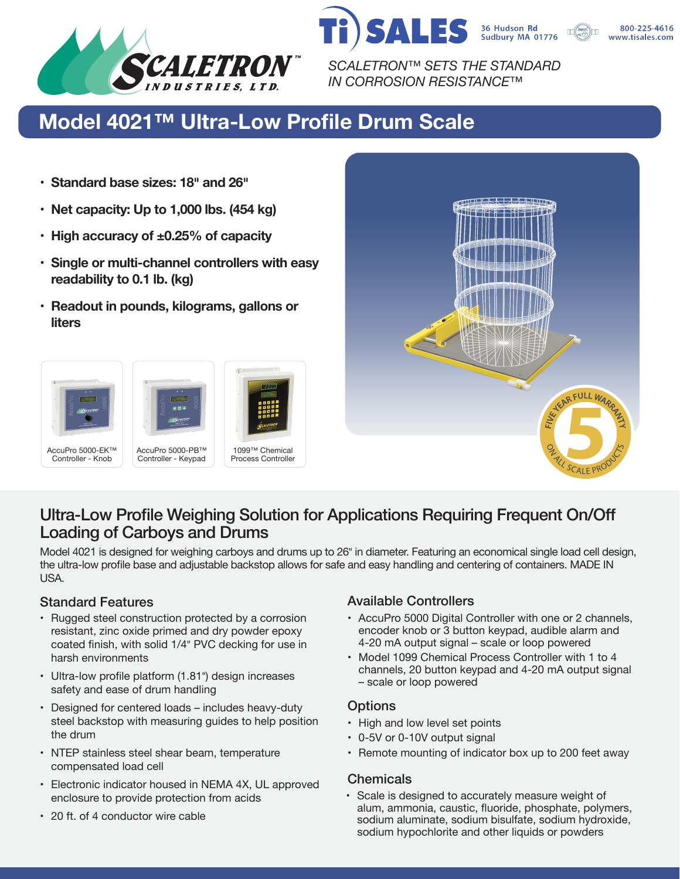

*SCALETRON™ SETS THE STANDARD IN CORROSION RESISTANCE™*

**SALES** 

## **Model 4021™ Ultra-Low Profile Drum Scale**

- **• Standard base sizes: 18� and 26�**
- **• Net capacity: Up to 1,000 lbs. (454 kg)**
- **• High accuracy of ±0.25% of capacity**
- **• Single or multi-channel controllers with easy readability to 0.1 lb. (kg)**
- **• Readout in pounds, kilograms, gallons or liters**





36 Hudson Rd<br>Sudbury MA 01776

800-225-4616 www.tisales.com

## Ultra-Low Profile Weighing Solution for Applications Requiring Frequent On/Off Loading of Carboys and Drums

Model 4021 is designed for weighing carboys and drums up to 26" in diameter. Featuring an economical single load cell design, the ultra-low profile base and adjustable backstop allows for safe and easy handling and centering of containers. MADE IN USA.

- Rugged steel construction protected by a corrosion resistant, zinc oxide primed and dry powder epoxy coated finish, with solid 1/4� PVC decking for use in harsh environments
- Ultra-low profile platform (1.81") design increases safety and ease of drum handling
- Designed for centered loads includes heavy-duty steel backstop with measuring guides to help position the drum
- NTEP stainless steel shear beam, temperature compensated load cell
- Electronic indicator housed in NEMA 4X, UL approved enclosure to provide protection from acids
- 20 ft. of 4 conductor wire cable

### Standard Features **Available Controllers** Available Controllers

- AccuPro 5000 Digital Controller with one or 2 channels, encoder knob or 3 button keypad, audible alarm and 4-20 mA output signal – scale or loop powered
- Model 1099 Chemical Process Controller with 1 to 4 channels, 20 button keypad and 4-20 mA output signal – scale or loop powered

#### **Options**

- High and low level set points
- 0-5V or 0-10V output signal
- Remote mounting of indicator box up to 200 feet away

#### **Chemicals**

• Scale is designed to accurately measure weight of alum, ammonia, caustic, fluoride, phosphate, polymers, sodium aluminate, sodium bisulfate, sodium hydroxide, sodium hypochlorite and other liquids or powders